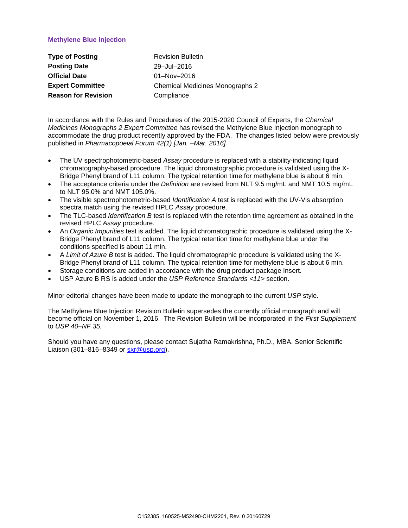## **Methylene Blue Injection**

| <b>Type of Posting</b>     | <b>Revision Bulletin</b>               |
|----------------------------|----------------------------------------|
| <b>Posting Date</b>        | 29-Jul-2016                            |
| <b>Official Date</b>       | 01-Nov-2016                            |
| <b>Expert Committee</b>    | <b>Chemical Medicines Monographs 2</b> |
| <b>Reason for Revision</b> | Compliance                             |

In accordance with the Rules and Procedures of the 2015-2020 Council of Experts, the *Chemical Medicines Monographs 2 Expert Committee* has revised the Methylene Blue Injection monograph to accommodate the drug product recently approved by the FDA. The changes listed below were previously published in *Pharmacopoeial Forum 42(1) [Jan.* –*Mar. 2016].*

- The UV spectrophotometric-based *Assay* procedure is replaced with a stability-indicating liquid chromatography-based procedure. The liquid chromatographic procedure is validated using the X-Bridge Phenyl brand of L11 column. The typical retention time for methylene blue is about 6 min.
- The acceptance criteria under the *[Definition](http://www.usppf.com/pf/pub/data/v421/MON_IPR_421_m52490.html#MON_IPR_421_m52490s1)* are revised from NLT 9.5 mg/mL and NMT 10.5 mg/mL to NLT 95.0% and NMT 105.0%.
- The visible spectrophotometric-based *[Identification A](http://www.usppf.com/pf/pub/data/v421/MON_IPR_421_m52490.html#MON_IPR_421_m52490s15)* test is replaced with the UV-Vis absorption spectra match using the revised HPLC *Assay* procedure.
- The TLC-based *[Identification B](http://www.usppf.com/pf/pub/data/v421/MON_IPR_421_m52490.html#MON_IPR_421_m52490s17)* test is replaced with the retention time agreement as obtained in the revised HPLC *Assay* procedure.
- An *[Organic Impurities](http://www.usppf.com/pf/pub/data/v421/MON_IPR_421_m52490.html#MON_IPR_421_m52490s18)* test is added. The liquid chromatographic procedure is validated using the X-Bridge Phenyl brand of L11 column. The typical retention time for methylene blue under the conditions specified is about 11 min.
- A *[Limit](http://www.usppf.com/pf/pub/data/v421/MON_IPR_421_m52490.html#MON_IPR_421_m52490s18) of Azure B* test is added. The liquid chromatographic procedure is validated using the X-Bridge Phenyl brand of L11 column. The typical retention time for methylene blue is about 6 min.
- Storage conditions are added in accordance with the drug product package Insert.
- USP Azure B RS is added under the *USP Reference Standards <11>* section.

Minor editorial changes have been made to update the monograph to the current *USP* style.

The Methylene Blue Injection Revision Bulletin supersedes the currently official monograph and will become official on November 1, 2016. The Revision Bulletin will be incorporated in the *First Supplement* to *USP 40–NF 35.* 

Should you have any questions, please contact Sujatha Ramakrishna, Ph.D., MBA. Senior Scientific Liaison (301–816–8349 or [sxr@usp.org\)](mailto:sxr@usp.org).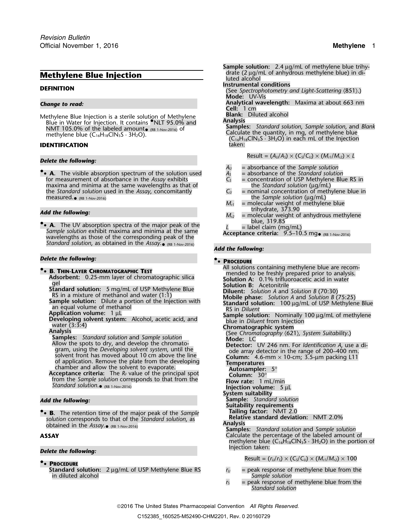Methylene Blue Injection is a sterile solution of Methylene **Blank:** Diluted alcohol **Analysis** Blue in Water for Injection. It contains **•** NLT 95.0% and **Analysis** NMT 105.0% of the labeled amount **Reservest Amount of the Samples:** *Standard solution*, *Sample solution*, and *Blank* • (RB 1-Nov-2016) of

## **IDENTIFICATION**

## *Delete the following:*

**.**• **A.** The visible absorption spectrum of the solution used *A<sup>S</sup>* = absorbance of the *Standard solution* for measurement of absorbance in the *Assay* exhibits  $C_s$  = concentration of USP Methylen<br>maxima and minima at the same wavelengths as that of  $C_s$  the *Standard solution* ( $\mu$ g/mL) maxima and minima at the same wavelengths as that of the *Standard solution* ( $\mu$ g/mL)<br>the *Standard solution* used in the *Assay*, concomitantly  $C_U$  = nominal concentration of methylene blue in the *Standard solution* used in the *Assay*, concomitantly measured.• (RB 1-Nov-2016)

• **A.** The UV absorption spectra of the major peak of the  $L =$ label claim (mg/mL)<br>Sample solution exhibit maxima and minima at the same<br>supplementes of the same presenting needs of the same **Acceptance criteria:** 9.5–10.5 Sample solution exhibit maxima and minima at the same<br>wavelengths as those of the corresponding peak of the<br> $\overline{A}$  acceptance criteria: 9.5–10.5 mg (RB 1-Nov-2016) *Standard solution*, as obtained in the *Assay*. • (RB 1-Nov-2016)

### *Delete the following:* **•**

Standard solution. RB 1-Nov-2016)

**• Tailing factor:** NMT 2.0 **.**• **B.** The retention time of the major peak of the *Sample* **solution** corresponds to that of the *Standard solution*, as **Relative standard deviation:** NMT 2.0%<br>colution corresponds to that of the *Assay* sense **Relative** Standard Solution, as **Analysis Analysis** obtained in the *Assay*. • (RB 1-Nov-2016)

### **Delete the following:**

## **.**• **PROCEDURE**

**Standard solution:** 2 µg/mL of USP Methylene Blue RS *<sup>r</sup><sup>U</sup>* = peak response of methylene blue from the in diluted alcohol *Sample solution*

*.* **Sample solution:** 2.4 µg/mL of methylene blue trihy-**Methylene Blue Injection** drate (2 µg/mL of anhydrous methylene blue) in diluted alcohol **Instrumental conditions**<br> **Instrumental conditions**<br>
(See *Spectrophotometry and Light-Scattering* \851).) **Mode:** UV-Vis *Change to read:* **Analytical wavelength:** Maxima at about 663 nm **Cell:** 1 cm **EXIMPLE 103.0% of the fabeled arrivance** (RB 1-Nov-2016) of **Calculate the quantity, in mg, of methylene blue**<br> **ENTIFICATION**<br> **ENTIFICATION** taken: the Injection taken:

 $Result = (A_U/A_S) \times (C_S/C_U) \times (M_{r1}/M_{r2}) \times L$ 

- 
- $A_U$  = absorbance of the *Sample solution*<br> $A_S$  = absorbance of the *Standard solution*
- 
- (the *Sample solution* (µg/mL)<br>M<sub>rl</sub> = molecular weight of methyler
- *Mr1* = molecular weight of methylene blue
- Add the following:<br> $M_{r2}$  = molecular weight of anhydrous methylene<br>blue, 319.85
	-

## *Add the following:*

## **.**• **PROCEDURE**

All solutions containing methylene blue are recom- **•B. THIN-LAYER CHROMATOGRAPHIC TEST**<br>Adsorbent: 0.25-mm layer of chromatographic silica<br>gel Solution A: 0.1% trifluoroacetic acid in water<br>Solution R: Acetonitrile gel<br>
Standard solution: 5 mg/ml. of USP Methylene Blue<br>
RS in a mixture of methanol and water (1:1)<br>
RS in a mixture of methanol and water (1:1)<br>
RS in a mixture of methanol and water (1:1)<br>
Shample solution: Dilutent and **Injection volume:** 5 µL **System suitability** *Add the following:* **Sample:** *Standard solution* **Suitability requirements Samples:** *Standard solution* and *Sample solution* **ASSAY** Calculate the percentage of the labeled amount of methylene blue  $(C_{16}H_{18}CIN_3S \cdot 3H_2O)$  in the portion of Injection taken:  $Result = (r_U/r_S) \times (C_S/C_U) \times (M_{r1}/M_{r2}) \times 100$ 

- 
- $r<sub>S</sub>$  = peak response of methylene blue from the *Standard solution*

2016 The United States Pharmacopeial Convention *All Rights Reserved.*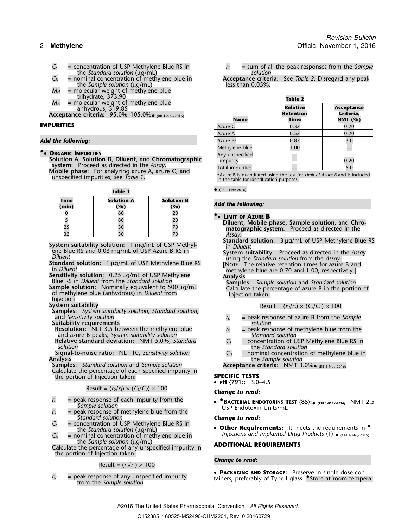- 
- the *Standard solution* ( $\mu$ g/mL)<br>= nominal concentration of methylene blue in the *Sample solution* (µg/mL)
- $M_{r1}$  = molecular weight of methylene blue<br>trihydrate, 373.90
- $M<sub>r2</sub>$  = molecular weight of methylene blue anhydrous, 319.85 **Relative Acceptance**

### Add the following:

**• ORGANIC IMPURITIES Solution B, Diluent, and Chromatographic Solution A, Solution B, Diluent, and Chromatographic — impurity 0.2008 Mobile phase:** For analyzing azure A, azure C, and unspecified impurities, see Table 1.

| Time<br>(min) | <b>Solution A</b><br>(%) | <b>Solution B</b><br>(%) | <b>Add the following:</b>                                                      |
|---------------|--------------------------|--------------------------|--------------------------------------------------------------------------------|
|               | 80                       |                          |                                                                                |
|               | 80                       |                          | <b>• LIMIT OF AZURE B</b><br>Diluent, Mobile phase, Sample solution, and Chro- |
|               |                          |                          | matographic system: Proceed as directed in the                                 |
|               | 3 <sup>c</sup>           |                          | Assav.                                                                         |

System suitability solution: 1 mg/mL of USP Methylene Blue RS<br>
ene Blue RS and 0.03 mg/mL of USP Azure B RS in<br>
Diluent<br>
System suitability: Proceed as directed in the Assay<br>
Diluent<br>
Standard solution: 1 µg/mL of USP Meth

 $S$ ystem suitability

**Samples:** *System suitability solution*, *Standard solution*,

- 
- 
- **Relative standard deviation:** NMT 5.0%, *Standard*  $C_s$  = concentration of USP Netherlane Blue Standard solution

Calculate the percentage of each specified impurity in the portion of Injection taken: **SPECIFIC TESTS**

# Result =  $(r_U/r_S) \times (C_S/C_U) \times 100$  **Change to read:**

- $r_U$  = peak response of each impurity from the *Sample solution*
- *Standard solution*<br> *C<sub>S</sub>* = concentration of USP Methylene Blue RS in
- the *Standard solution* (µg/mL)
- $C_U$  = nominal concentration of methylene blue in *Injections and Implanted Drug Products*  $\langle 1 \rangle \bullet \langle C_N \rangle$  1. May-2016)

the *Sample solution* (µg/mL)<br>Calculate the percentage of any unspecified impurity in **ADDITIONAL REQUIREMENTS** the portion of Injection taken:

**Change to read:** Result =  $(r_U/r_T) \times 100$ 

 $C_5$  = concentration of USP Methylene Blue RS in  $r_T$  = sum of all the peak responses from the *Sample*<br>the *Standard solution* (ug/mL)

*C<sub>U</sub>* = nominal concentration of methylene blue in **Acceptance criteria:** See *Table 2*. Disregard any peak than 0.05%.

| trihydrate, 3/3.90<br>$M_{r2}$<br>= molecular weight of methylene blue                                                           | <b>Table 2</b>                  |                                      |                                             |
|----------------------------------------------------------------------------------------------------------------------------------|---------------------------------|--------------------------------------|---------------------------------------------|
| anhydrous, $319.85$<br><b>Acceptance criteria:</b> 95.0%–105.0%• (RB 1-Nov-2016)                                                 | <b>Name</b>                     | <b>Relative</b><br>Retention<br>Time | <b>Acceptance</b><br>Criteria,<br>NMT $(%)$ |
| IMPURITIES                                                                                                                       | Azure C                         | 0.32                                 | 0.20                                        |
| Add the following:                                                                                                               | Azure A<br>Azure B <sup>a</sup> | 0.52<br>0.82                         | 0.20                                        |
| <b>• ORGANIC IMPURITIES</b><br>Solution A, Solution B, Diluent, and Chromatographic<br>system: Proceed as directed in the Assay. | Methylene blue                  | 1.00                                 |                                             |
|                                                                                                                                  | Any unspecified<br>impurity     |                                      | 0.20                                        |
|                                                                                                                                  | Total impurities                |                                      |                                             |

<sup>a</sup> Azure B is quantitated using the test for *Limit of Azure B* and is included in the table for identification purposes.

**Table 1 C** (RB 1-Nov-2016)

## *Add the following:*

$$
Result = (r_U/r_S) \times (C_S/C_U) \times 100
$$

- 
- and *Sensitivity solution*<br> **Suitability requirements**<br> **Resolution:** NLT 3.5 between the methylene blue<br> **Resolution:** NLT 3.5 between the methylene blue<br> **Resolution:** NLT 3.5 between the methylene blue<br> **Resolution:** NL **Resolution:** NLT 3.5 between the methylene blue *r*<sub>S</sub> = peak response of methylene blue from the and azure B peaks, *System suitability solution Standard solution Standard solution Standard solution Standard so* 
	-
- **Signal-to-noise ratio:** NLT 10, *Sensitivity solution*  $C_U$  = nominal concentration of methylene blue in **Analysis**<br>Analysis the *Sample solution* and *Sample solution* **Acceptance criteria:** NMT 3.0% (RB 1-Nov-2016)

Acceptance criteria: NMT  $3.0\%$  (RB 1-Nov-2016)

• **<sup>P</sup>H** 〈**791**〉**:** 3.0–4.5

 $r_U$  = peak response of each impurity from the **COV COVERIAL ENDOTOXINS TEST**  $\langle 85 \rangle$ :  $\bullet$   $\langle$  cn 1-may-2016) NMT 2.5<br>
Sample solution Sample solution<br>  $r_S$  = peak response of methylene blue from the USP Endotoxin Uni

**Other Requirements:** It meets the requirements in  $\bullet$ Injections and Implanted Drug Products  $\langle 1 \rangle \bullet \langle CN \rangle$  1-May-2016)

 $r_U$  = peak response of any unspecified impurity **• PACKAGING AND STORAGE:** Preserve in single-dose con-<br>from the *Sample solution*